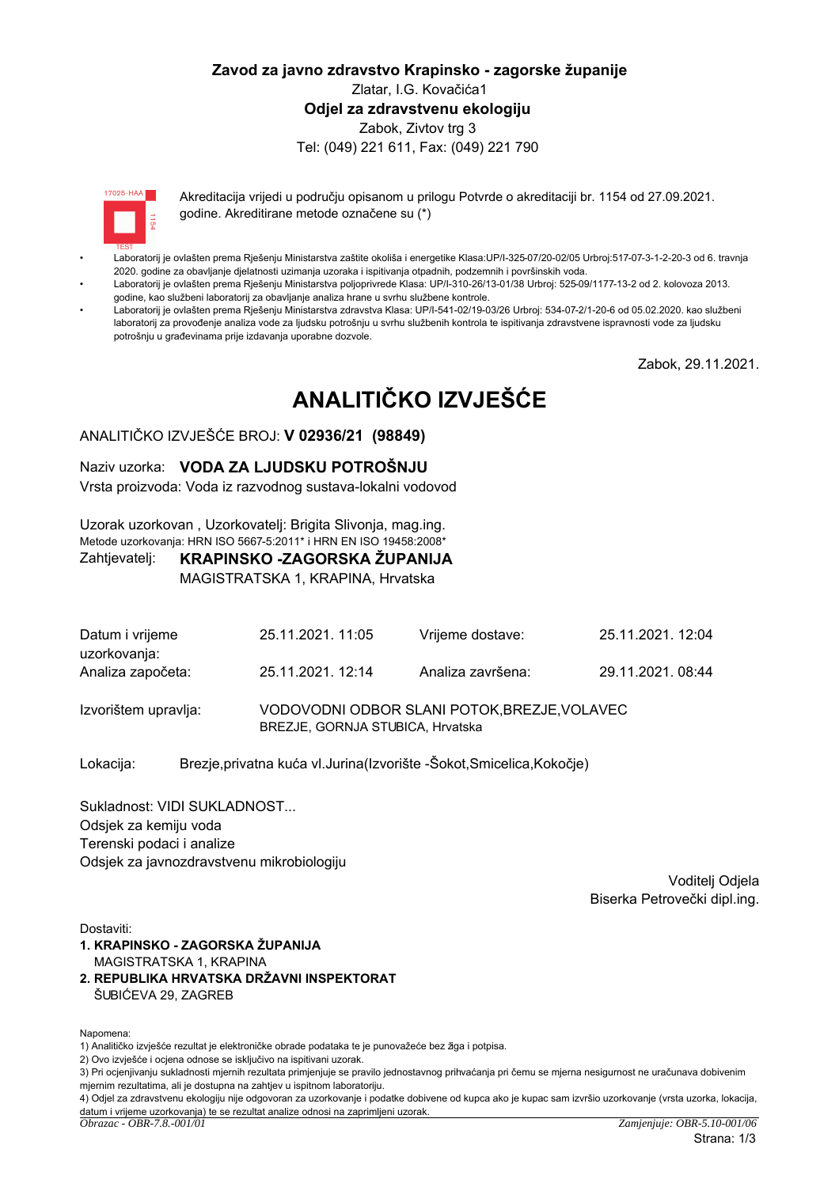## Zavod za javno zdravstvo Krapinsko - zagorske županije Zlatar, I.G. Kovačića1 Odiel za zdravstvenu ekologiju Zabok, Zivtov trg 3 Tel: (049) 221 611, Fax: (049) 221 790



Akreditacija vrijedi u područiu opisanom u prilogu Potvrde o akreditaciji br. 1154 od 27.09.2021. godine. Akreditirane metode označene su (\*)

- Laboratorij je ovlašten prema Rješenju Ministarstva zaštite okoliša i energetike Klasa:UP/l-325-07/20-02/05 Urbroj:517-07-3-1-2-20-3 od 6. travnja 2020. godine za obavljanje djelatnosti uzimanja uzoraka i ispitivanja otpadnih, podzemnih i površinskih voda.
- Laboratorij je ovlašten prema Rješenju Ministarstva poljoprivrede Klasa: UP/I-310-26/13-01/38 Urbroj: 525-09/1177-13-2 od 2. kolovoza 2013. godine, kao službeni laboratorij za obavljanje analiza hrane u svrhu službene kontrole.
- Laboratorij je ovlašten prema Riešenju Ministarstva zdravstva Klasa: UP/I-541-02/19-03/26 Urbroj: 534-07-2/1-20-6 od 05.02.2020. kao službeni laboratorij za provođenje analiza vode za ljudsku potrošnju u svrhu službenih kontrola te ispitivanja zdravstvene ispravnosti vode za ljudsku potrošniu u građevinama prije izdavanja uporabne dozvole.

Zabok, 29.11.2021.

# ANALITIČKO IZVJEŠĆE

## ANALITIČKO IZVJEŠĆE BROJ: V 02936/21 (98849)

### Naziv uzorka: VODA ZA LJUDSKU POTROŠNJU

Vrsta proizvoda: Voda iz razvodnog sustava-lokalni vodovod

Uzorak uzorkovan, Uzorkovateli: Brigita Slivonia, mag.ing. Metode uzorkovanja: HRN ISO 5667-5:2011\* i HRN EN ISO 19458:2008\*

#### KRAPINSKO -ZAGORSKA ŽUPANIJA Zahtjevatelj:

MAGISTRATSKA 1, KRAPINA, Hrvatska

| Datum i vrijeme<br>uzorkovanja: | 25.11.2021. 11:05                                                                | 25.11.2021. 12:04<br>Vrijeme dostave: |                  |  |
|---------------------------------|----------------------------------------------------------------------------------|---------------------------------------|------------------|--|
| Analiza započeta:               | 25.11.2021. 12:14                                                                | Analiza završena:                     | 29.11.2021.08:44 |  |
| Izvorištem upravlja:            | VODOVODNI ODBOR SLANI POTOK, BREZJE, VOLAVEC<br>BREZJE, GORNJA STUBICA, Hrvatska |                                       |                  |  |

Brezje, privatna kuća vl. Jurina (Izvorište - Šokot, Smicelica, Kokočje) Lokacija:

Sukladnost: VIDI SUKLADNOST... Odsjek za kemiju voda Terenski podaci i analize Odsiek za javnozdravstvenu mikrobiologiju

> Voditeli Odiela Biserka Petrovečki dipl.ing.

Dostaviti:

- 1. KRAPINSKO ZAGORSKA ŽUPANIJA MAGISTRATSKA 1. KRAPINA
- 2. REPUBLIKA HRVATSKA DRŽAVNI INSPEKTORAT ŠUBIĆEVA 29, ZAGREB

Napomena:

2) Ovo izvješće i ocjena odnose se isključivo na ispitivani uzorak.

<sup>1)</sup> Analitičko izviešće rezultat je elektroničke obrade podataka te je punovažeće bez žiga i potpisa.

<sup>3)</sup> Pri ocjenjivanju sukladnosti mjernih rezultata primjenjuje se pravilo jednostavnog prihvaćanja pri čemu se mjerna nesigurnost ne uračunava dobivenim miernim rezultatima, ali je dostupna na zahtjev u ispitnom laboratoriju.

<sup>4)</sup> Odjel za zdravstvenu ekologiju nije odgovoran za uzorkovanje i podatke dobivene od kupca ako je kupac sam izvršio uzorkovanje (vrsta uzorka, lokacija, datum i vrijeme uzorkovanja) te se rezultat analize odnosi na zaprimljeni uzorak.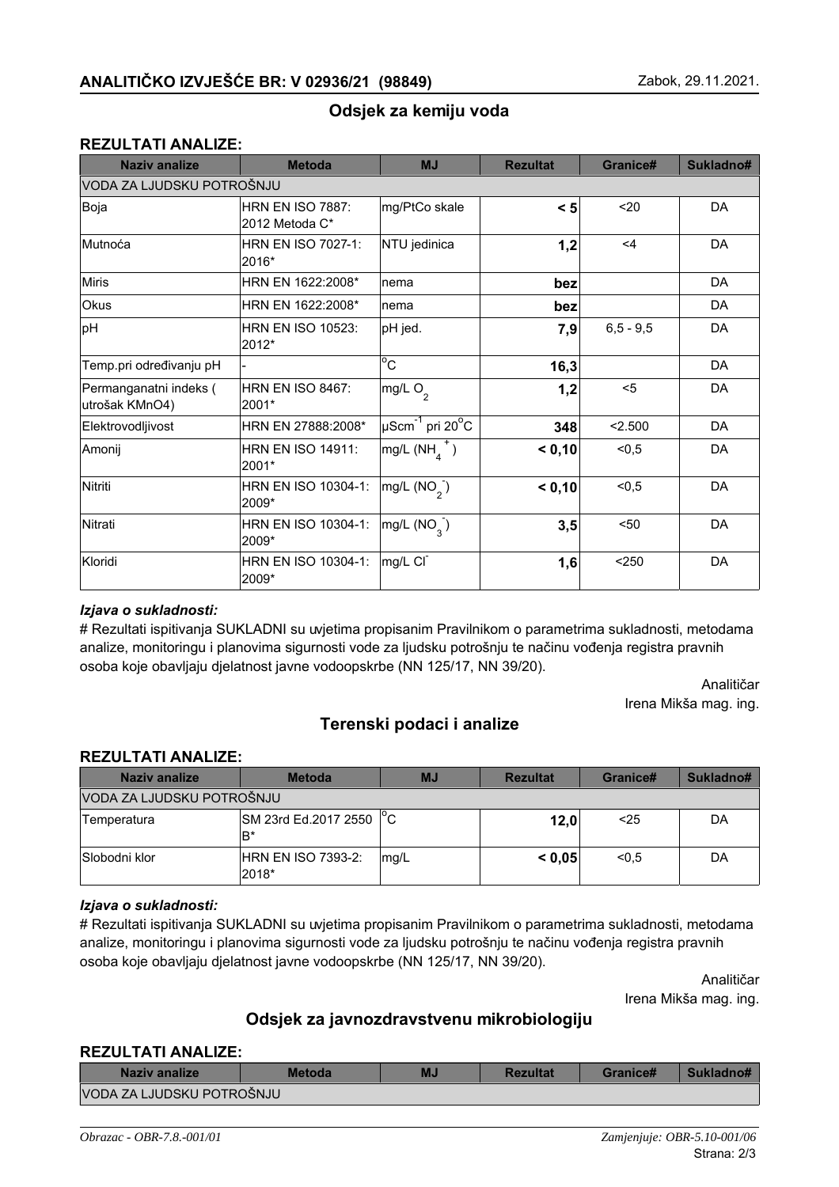## Odsjek za kemiju voda

## **REZULTATI ANALIZE:**

| <b>Naziv analize</b>                     | <b>Metoda</b>                             | <b>MJ</b>                                     | <b>Rezultat</b> | Granice#    | Sukladno# |
|------------------------------------------|-------------------------------------------|-----------------------------------------------|-----------------|-------------|-----------|
| VODA ZA LJUDSKU POTROŠNJU                |                                           |                                               |                 |             |           |
| Boja                                     | <b>HRN EN ISO 7887:</b><br>2012 Metoda C* | mg/PtCo skale                                 | $\leq 5$        | 20          | DA        |
| Mutnoća                                  | <b>HRN EN ISO 7027-1:</b><br>2016*        | NTU jedinica                                  | 1,2             | $\leq 4$    | DA        |
| <b>Miris</b>                             | HRN EN 1622:2008*                         | nema                                          | bez             |             | DA        |
| Okus                                     | HRN EN 1622:2008*                         | nema                                          | bez             |             | DA        |
| pH                                       | <b>HRN EN ISO 10523:</b><br>2012*         | pH jed.                                       | 7,9             | $6,5 - 9,5$ | DA        |
| Temp.pri određivanju pH                  |                                           | $^{\circ}$ C                                  | 16,3            |             | DA        |
| Permanganatni indeks (<br>utrošak KMnO4) | HRN EN ISO 8467:<br>2001*                 | mg/L O <sub>2</sub>                           | 1,2             | $5$         | DA        |
| Elektrovodljivost                        | HRN EN 27888:2008*                        | $\mu$ Scm <sup>-1</sup> pri 20 <sup>o</sup> C | 348             | < 2.500     | DA        |
| Amonij                                   | <b>HRN EN ISO 14911:</b><br>2001*         | $mg/L(NHA+)$                                  | < 0,10          | < 0, 5      | DA        |
| Nitriti                                  | HRN EN ISO 10304-1:<br>2009*              | mg/L (NO <sub>2</sub> )                       | < 0,10          | < 0, 5      | DA        |
| Nitrati                                  | HRN EN ISO 10304-1:<br>2009*              | mg/L (NO <sub>3</sub> )                       | 3,5             | $50$        | DA        |
| Kloridi                                  | HRN EN ISO 10304-1:<br>2009*              | mg/L CI                                       | 1,6             | $250$       | DA        |

## lzjava o sukladnosti:

# Rezultati ispitivanja SUKLADNI su uvjetima propisanim Pravilnikom o parametrima sukladnosti, metodama analize, monitoringu i planovima sigurnosti vode za ljudsku potrošnju te načinu vođenja registra pravnih osoba koje obavljaju djelatnost javne vodoopskrbe (NN 125/17, NN 39/20).

> Analitičar Irena Mikša mag. ing.

## **Terenski podaci i analize**

### **REZULTATI ANALIZE:**

| Naziv analize             | <b>Metoda</b>                 | <b>MJ</b> | <b>Rezultat</b> | Granice# | Sukladno# |
|---------------------------|-------------------------------|-----------|-----------------|----------|-----------|
| VODA ZA LJUDSKU POTROŠNJU |                               |           |                 |          |           |
| Temperatura               | SM 23rd Ed.2017 2550 °C<br>B* |           | 12,0            | $25$     | DA        |
| Slobodni klor             | HRN EN ISO 7393-2:<br>2018*   | mg/L      | < 0.05          | < 0.5    | DA        |

#### *lzjava* o sukladnosti:

# Rezultati ispitivanja SUKLADNI su uvjetima propisanim Pravilnikom o parametrima sukladnosti, metodama analize, monitoringu i planovima sigurnosti vode za ljudsku potrošnju te načinu vođenja registra pravnih osoba koje obavljaju djelatnost javne vodoopskrbe (NN 125/17, NN 39/20).

> Analitičar Irena Mikša mag. ing.

## Odsjek za javnozdravstvenu mikrobiologiju

#### **REZULTATI ANALIZE:**

| Naziv analize             | <b>Metoda</b> | MJ | <b>Rezultat</b> | Granice# | Sukladno# |
|---------------------------|---------------|----|-----------------|----------|-----------|
| VODA ZA LJUDSKU POTROŠNJU |               |    |                 |          |           |